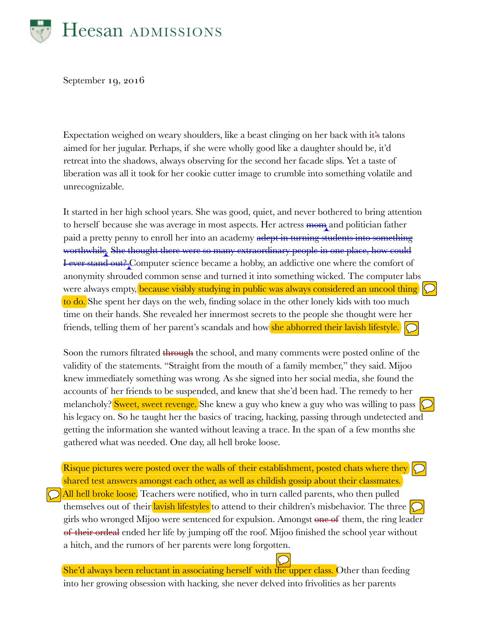

September 19, 2016

Expectation weighed on weary shoulders, like a beast clinging on her back with it's talons aimed for her jugular. Perhaps, if she were wholly good like a daughter should be, it'd retreat into the shadows, always observing for the second her facade slips. Yet a taste of liberation was all it took for her cookie cutter image to crumble into something volatile and unrecognizable.

It started in her high school years. She was good, quiet, and never bothered to bring attention to herself because she was average in most aspects. Her actress mom and politician father paid a pretty penny to enroll her into an academy adept in turning students into something worthwhile. She thought there were so many extraordinary people in one place, how could I ever stand out? Computer science became a hobby, an addictive one where the comfort of anonymity shrouded common sense and turned it into something wicked. The computer labs were always empty, because visibly studying in public was always considered an uncool thing to do. She spent her days on the web, finding solace in the other lonely kids with too much time on their hands. She revealed her innermost secrets to the people she thought were her friends, telling them of her parent's scandals and how she abhorred their lavish lifestyle.

Soon the rumors filtrated through the school, and many comments were posted online of the validity of the statements. "Straight from the mouth of a family member," they said. Mijoo knew immediately something was wrong. As she signed into her social media, she found the accounts of her friends to be suspended, and knew that she'd been had. The remedy to her melancholy? <mark>Sweet, sweet revenge.</mark> She knew a guy who knew a guy who was willing to pass  $\bigcirc$ his legacy on. So he taught her the basics of tracing, hacking, passing through undetected and getting the information she wanted without leaving a trace. In the span of a few months she gathered what was needed. One day, all hell broke loose.

Risque pictures were posted over the walls of their establishment, posted chats where they shared test answers amongst each other, as well as childish gossip about their classmates.

 $\bigcirc$  All hell broke loose. Teachers were notified, who in turn called parents, who then pulled themselves out of their lavish lifestyles to attend to their children's misbehavior. The three **O** girls who wronged Mijoo were sentenced for expulsion. Amongst one of them, the ring leader of their ordeal ended her life by jumping off the roof. Mijoo finished the school year without a hitch, and the rumors of her parents were long forgotten.

She'd always been reluctant in associating herself with the upper class. Other than feeding into her growing obsession with hacking, she never delved into frivolities as her parents